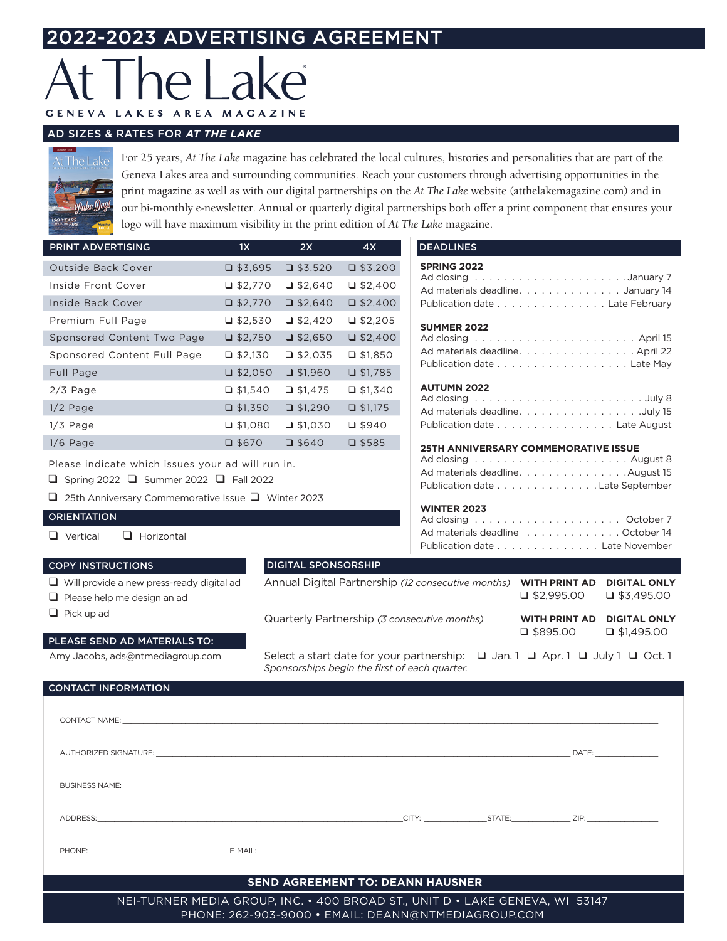# 2022-2023 ADVERTISING AGREEMENT

# $\overline{\mathcal{L}}$ LAKES AREA MAGAZINE **GENEVA**

# AD SIZES & RATES FOR *AT THE LAKE*

For 25 years, *At The Lake* magazine has celebrated the local cultures, histories and personalities that are part of the Geneva Lakes area and surrounding communities. Reach your customers through advertising opportunities in the print magazine as well as with our digital partnerships on the *At The Lake* website (atthelakemagazine.com) and in our bi-monthly e-newsletter. Annual or quarterly digital partnerships both offer a print component that ensures your logo will have maximum visibility in the print edition of *At The Lake* magazine.

| PRINT ADVERTISING           | 1X              | 2X              | 4X              |
|-----------------------------|-----------------|-----------------|-----------------|
| <b>Outside Back Cover</b>   | $\Box$ \$3,695  | $\Box$ \$3,520  | $\Box$ \$3,200  |
| Inside Front Cover          | $\Box$ \$2,770  | $\Box$ \$2,640  | $\Box$ \$2,400  |
| Inside Back Cover           | $\Box$ \$2,770  | $\Box$ \$2,640  | $\Box$ \$2,400  |
| Premium Full Page           | $\Box$ \$2,530  | $\Box$ \$2,420  | $\Box$ \$2,205  |
| Sponsored Content Two Page  | $\Box$ \$2,750  | $\Box$ \$2,650  | $\Box$ \$2,400  |
| Sponsored Content Full Page | $\Box$ \$2,130  | $\Box$ \$2,035  | $\Box$ \$1,850  |
| Full Page                   | $\Box$ \$2,050  | $\Box$ \$1,960  | $\Box$ \$1,785  |
| $2/3$ Page                  | $\Box$ \$1,540  | $\Box$ \$1,475  | $\Box$ \$1,340  |
| $1/2$ Page                  | $\Box$ \$1,350  | $\Box$ \$1,290  | $\Box$ \$1,175  |
| $1/3$ Page                  | $\Box$ \$1,080  | $\Box$ \$1,030  | J\$940          |
| $1/6$ Page                  | $\square$ \$670 | $\square$ \$640 | $\square$ \$585 |

Please indicate which issues your ad will run in.

 $\Box$  Spring 2022  $\Box$  Summer 2022  $\Box$  Fall 2022

 $\Box$  25th Anniversary Commemorative Issue  $\Box$  Winter 2023

# **ORIENTATION**

 $\Box$  Pick up ad

 $\Box$  Vertical  $\Box$  Horizontal

 $\Box$  Please help me design an ad

## COPY INSTRUCTIONS

# DIGITAL SPONSORSHIP

Annual Digital Partnership *(12 consecutive months)* **WITH PRINT AD DIGITAL ONLY**   $\Box$  \$2,995.00  $\Box$  \$3,495.00 Quarterly Partnership *(3 consecutive months)* **WITH PRINT AD DIGITAL ONLY**  $\Box$  \$895.00  $\Box$  \$1,495.00

PLEASE SEND AD MATERIALS TO: Amy Jacobs, ads@ntmediagroup.com

 $\Box$  Will provide a new press-ready digital ad

Select a start date for your partnership:  $\Box$  Jan. 1  $\Box$  Apr. 1  $\Box$  July 1  $\Box$  Oct. 1 *Sponsorships begin the first of each quarter.* 

| <b>CONTACT INFORMATION</b> |
|----------------------------|
|                            |

| CONTACT NAME: We are all the contract of the contract of the contract of the contract name is a state of the contract name is a state of the contract of the contract of the contract of the contract of the contract of the c |  |  |  |  |  |  |  |  |  |  |
|--------------------------------------------------------------------------------------------------------------------------------------------------------------------------------------------------------------------------------|--|--|--|--|--|--|--|--|--|--|
|                                                                                                                                                                                                                                |  |  |  |  |  |  |  |  |  |  |
|                                                                                                                                                                                                                                |  |  |  |  |  |  |  |  |  |  |
|                                                                                                                                                                                                                                |  |  |  |  |  |  |  |  |  |  |
|                                                                                                                                                                                                                                |  |  |  |  |  |  |  |  |  |  |
| <b>SEND AGREEMENT TO: DEANN HAUSNER</b>                                                                                                                                                                                        |  |  |  |  |  |  |  |  |  |  |
| NEI-TURNER MEDIA GROUP, INC. • 400 BROAD ST., UNIT D • LAKE GENEVA, WI 53147                                                                                                                                                   |  |  |  |  |  |  |  |  |  |  |

PHONE: 262-903-9000 • EMAIL: DEANN@NTMEDIAGROUP.COM

### **DEADLINES**

| <b>SPRING 2022</b>                |  |  |  |  |  |  |
|-----------------------------------|--|--|--|--|--|--|
|                                   |  |  |  |  |  |  |
| Ad materials deadline. January 14 |  |  |  |  |  |  |
| Publication date Late February    |  |  |  |  |  |  |

# **SUMMER 2022**

| Ad materials deadline. April 22 |  |  |  |  |  |  |  |  |
|---------------------------------|--|--|--|--|--|--|--|--|
| Publication date Late May       |  |  |  |  |  |  |  |  |

# **AUTUMN 2022**

| Ad materials deadline. July 15 |  |  |  |  |  |  |  |  |
|--------------------------------|--|--|--|--|--|--|--|--|
| Publication date Late August   |  |  |  |  |  |  |  |  |

### **25TH ANNIVERSARY COMMEMORATIVE ISSUE**

| Ad materials deadlineAugust 15  |  |  |  |  |  |  |  |
|---------------------------------|--|--|--|--|--|--|--|
| Publication date Late September |  |  |  |  |  |  |  |

# **WINTER 2023**

| Ad materials deadline response to response the control of the Materials deadline response to response the mate |  |  |  |  |  |  |
|----------------------------------------------------------------------------------------------------------------|--|--|--|--|--|--|
| Publication date Late November                                                                                 |  |  |  |  |  |  |